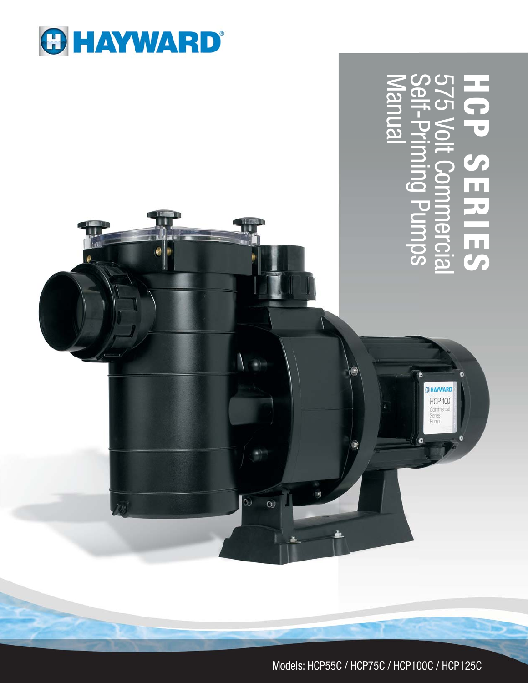

ø

 $\omega$ 

Ĥ

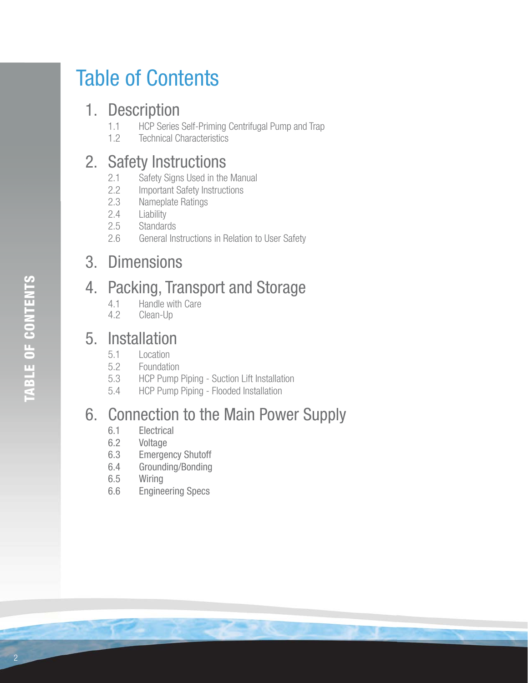# Table of Contents

## 1. Description

- 1.1 HCP Series Self-Priming Centrifugal Pump and Trap<br>1.2 Technical Characteristics
- **Technical Characteristics**

## 2. Safety Instructions

- 2.1 Safety Signs Used in the Manual
- 2.2 Important Safety Instructions
- 2.3 Nameplate Ratings<br>2.4 Liability
- Liability
- 2.5 Standards<br>2.6 General In
- General Instructions in Relation to User Safety

## 3. Dimensions

## 4. Packing, Transport and Storage

- 4.1 Handle with Care<br>4.2 Clean-Up
- Clean-Up

## 5. Installation

- 5.1 Location<br>5.2 Foundation
- **Foundation**
- 5.3 HCP Pump Piping Suction Lift Installation
- 5.4 HCP Pump Piping Flooded Installation

## 6. Connection to the Main Power Supply

- 6.1 Electrical<br>6.2 Voltage
- Voltage
- 6.3 Emergency Shutoff
- 6.4 Grounding/Bonding
- 6.5 Wiring
- 6.6 Engineering Specs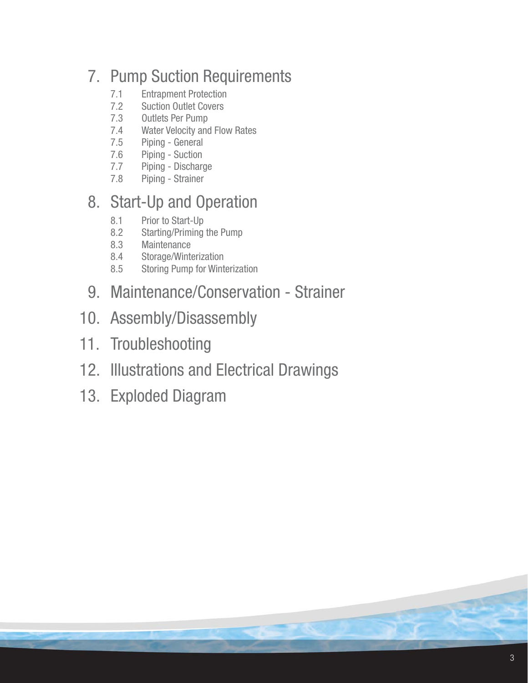## 7. Pump Suction Requirements

- 7.1 Entrapment Protection<br>7.2 Suction Outlet Covers
- **Suction Outlet Covers**
- 7.3 Outlets Per Pump
- 7.4 Water Velocity and Flow Rates
- 7.5 Piping General
- 7.6 Piping Suction<br>7.7 Piping Dischar
- Piping Discharge
- 7.8 Piping Strainer

## 8. Start-Up and Operation

- 8.1 Prior to Start-Up<br>8.2 Starting/Priming
- Starting/Priming the Pump
- 8.3 Maintenance
- 8.4 Storage/Winterization<br>8.5 Storing Pump for Wint
- 8.5 Storing Pump for Winterization
- 9. Maintenance/Conservation Strainer
- 10. Assembly/Disassembly
- 11. Troubleshooting
- 12. Illustrations and Electrical Drawings
- 13. Exploded Diagram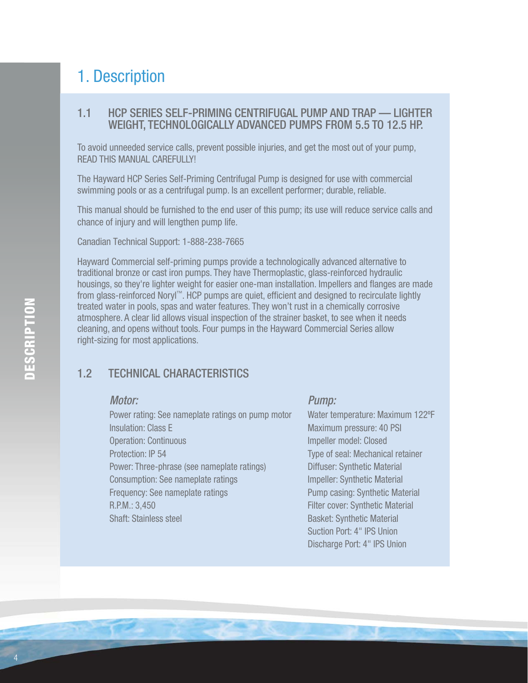## 1. Description

#### 1.1 HCP SERIES SELF-PRIMING CENTRIFUGAL PUMP AND TRAP — LIGHTER WEIGHT, TECHNOLOGICALLY ADVANCED PUMPS FROM 5.5 TO 12.5 HP.

 To avoid unneeded service calls, prevent possible injuries, and get the most out of your pump, READ THIS MANUAL CAREFULLYL

 The Hayward HCP Series Self-Priming Centrifugal Pump is designed for use with commercial swimming pools or as a centrifugal pump. Is an excellent performer; durable, reliable.

 This manual should be furnished to the end user of this pump; its use will reduce service calls and chance of injury and will lengthen pump life.

Canadian Technical Support: 1-888-238-7665

Hayward Commercial self-priming pumps provide a technologically advanced alternative to traditional bronze or cast iron pumps. They have Thermoplastic, glass-reinforced hydraulic housings, so they're lighter weight for easier one-man installation. Impellers and flanges are made from glass-reinforced Noryl™. HCP pumps are quiet, efficient and designed to recirculate lightly treated water in pools, spas and water features. They won't rust in a chemically corrosive atmosphere. A clear lid allows visual inspection of the strainer basket, to see when it needs cleaning, and opens without tools. Four pumps in the Hayward Commercial Series allow right-sizing for most applications.

#### 1.2 TECHNICAL CHARACTERISTICS

#### Motor:

Power rating: See nameplate ratings on pump motor Insulation: Class E Operation: Continuous Protection: IP 54 Power: Three-phrase (see nameplate ratings) Consumption: See nameplate ratings Frequency: See nameplate ratings R.P.M.: 3,450 Shaft: Stainless steel

#### Pump:

Water temperature: Maximum 122ºF Maximum pressure: 40 PSI Impeller model: Closed Type of seal: Mechanical retainer Diffuser: Synthetic Material Impeller: Synthetic Material Pump casing: Synthetic Material Filter cover: Synthetic Material Basket: Synthetic Material Suction Port: 4" IPS Union Discharge Port: 4" IPS Union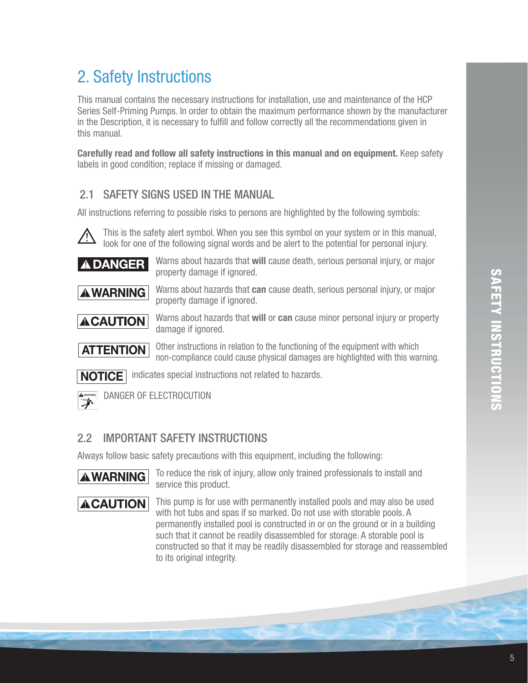## 2. Safety Instructions

This manual contains the necessary instructions for installation, use and maintenance of the HCP Series Self-Priming Pumps. In order to obtain the maximum performance shown by the manufacturer in the Description, it is necessary to fulfill and follow correctly all the recommendations given in this manual.

**Carefully read and follow all safety instructions in this manual and on equipment.** Keep safety labels in good condition; replace if missing or damaged.

#### 2.1 SAFETY SIGNS USED IN THE MANUAL

All instructions referring to possible risks to persons are highlighted by the following symbols:



 This is the safety alert symbol. When you see this symbol on your system or in this manual, look for one of the following signal words and be alert to the potential for personal injury.

**A DANGER** Warns about hazards that will cause death, serious personal injury, or major property damage if ignored.



**AWARNING** Warns about hazards that can cause death, serious personal injury, or major property damage if ignored.

**ACAUTION** Warns about hazards that will or can cause minor personal injury or property damage if ignored.



 Other instructions in relation to the functioning of the equipment with which non-compliance could cause physical damages are highlighted with this warning.

**NOTICE** indicates special instructions not related to hazards.



DANGER OF ELECTROCUTION

#### 2.2 IMPORTANT SAFETY INSTRUCTIONS

Always follow basic safety precautions with this equipment, including the following:



**AWARNING** To reduce the risk of injury, allow only trained professionals to install and service this product.

**ACAUTION** This pump is for use with permanently installed pools and may also be used with hot tubs and spas if so marked. Do not use with storable pools. A permanently installed pool is constructed in or on the ground or in a building such that it cannot be readily disassembled for storage. A storable pool is constructed so that it may be readily disassembled for storage and reassembled to its original integrity.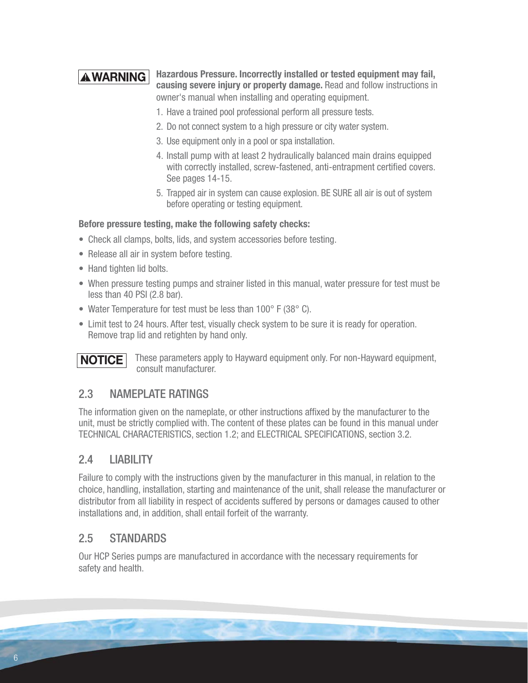#### **Hazardous Pressure. Incorrectly installed or tested equipment may fail, A WARNING causing severe injury or property damage.** Read and follow instructions in owner's manual when installing and operating equipment.

- 1. Have a trained pool professional perform all pressure tests.
- 2. Do not connect system to a high pressure or city water system.
- 3. Use equipment only in a pool or spa installation.
- 4. Install pump with at least 2 hydraulically balanced main drains equipped with correctly installed, screw-fastened, anti-entrapment certified covers. See pages 14-15.
- 5. Trapped air in system can cause explosion. BE SURE all air is out of system before operating or testing equipment.

#### **Before pressure testing, make the following safety checks:**

- Check all clamps, bolts, lids, and system accessories before testing.
- Release all air in system before testing.
- Hand tighten lid bolts.
- When pressure testing pumps and strainer listed in this manual, water pressure for test must be less than 40 PSI (2.8 bar).
- Water Temperature for test must be less than 100° F (38° C).
- Limit test to 24 hours. After test, visually check system to be sure it is ready for operation. Remove trap lid and retighten by hand only.

**NOTICE**

These parameters apply to Hayward equipment only. For non-Hayward equipment, consult manufacturer.

#### 2.3 NAMEPLATE RATINGS

The information given on the nameplate, or other instructions affixed by the manufacturer to the unit, must be strictly complied with. The content of these plates can be found in this manual under TECHNICAL CHARACTERISTICS, section 1.2; and ELECTRICAL SPECIFICATIONS, section 3.2.

#### 2.4 LIABILITY

Failure to comply with the instructions given by the manufacturer in this manual, in relation to the choice, handling, installation, starting and maintenance of the unit, shall release the manufacturer or distributor from all liability in respect of accidents suffered by persons or damages caused to other installations and, in addition, shall entail forfeit of the warranty.

#### 2.5 STANDARDS

Our HCP Series pumps are manufactured in accordance with the necessary requirements for safety and health.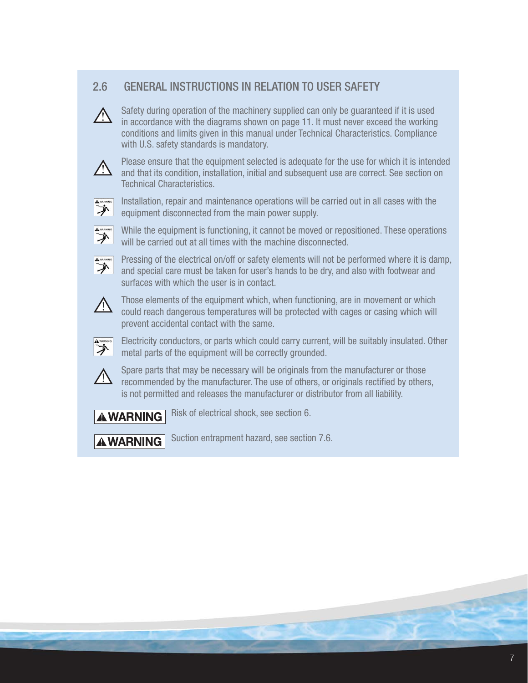#### 2.6 GENERAL INSTRUCTIONS IN RELATION TO USER SAFETY

Safety during operation of the machinery supplied can only be guaranteed if it is used in accordance with the diagrams shown on page 11. It must never exceed the working conditions and limits given in this manual under Technical Characteristics. Compliance with U.S. safety standards is mandatory.



 Please ensure that the equipment selected is adequate for the use for which it is intended and that its condition, installation, initial and subsequent use are correct. See section on Technical Characteristics.



 $\sum_{n=1}^{\infty}$  Installation, repair and maintenance operations will be carried out in all cases with the  $\sum_{n=1}^{\infty}$ equipment disconnected from the main power supply.



 $\sum_{n=1}^{\infty}$  While the equipment is functioning, it cannot be moved or repositioned. These operations will be carried out at all times with the machine disconnected.



 $\sum_{n=1}^{\infty}$  Pressing of the electrical on/off or safety elements will not be performed where it is damp, and special care must be taken for user's hands to be dry, and also with footwear and surfaces with which the user is in contact.



Those elements of the equipment which, when functioning, are in movement or which<br>
sould reach depressive temperatures will be arcterised with agree or agains which will could reach dangerous temperatures will be protected with cages or casing which will prevent accidental contact with the same.



Electricity conductors, or parts which could carry current, will be suitably insulated. Other<br>
metal parts of the equipment will be correctly grounded. metal parts of the equipment will be correctly grounded.



 Spare parts that may be necessary will be originals from the manufacturer or those recommended by the manufacturer. The use of others, or originals rectified by others, is not permitted and releases the manufacturer or distributor from all liability.

**AWARNING** Risk of electrical shock, see section 6.

**AWARNING** Suction entrapment hazard, see section 7.6.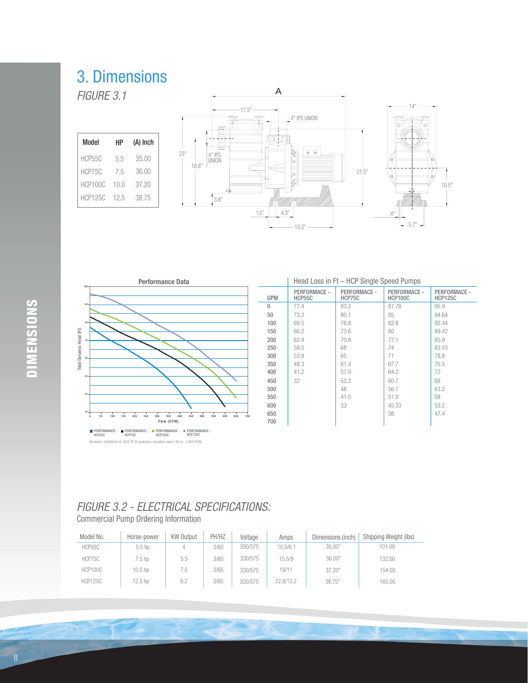## 3. Dimensions

Model HCP55C HCP75C 7.5 36.00 HP 5.5 35.00  $(A)$  Inch

HCP100C 10.0 37.20 HCP125C 12.5 38.75





|              |                        | Head Loss in Ft - HCP Single Speed Pumps |                                |                                |
|--------------|------------------------|------------------------------------------|--------------------------------|--------------------------------|
| <b>GPM</b>   | PERFORMACE -<br>HCP55C | PERFORMACE -<br>HCP75C                   | PERFORMACE -<br><b>HCP100C</b> | PERFORMACE -<br><b>HCP125C</b> |
| $\mathbf{0}$ | 77.4                   | 83.2                                     | 87.78                          | 95.9                           |
| 50           | 73.3                   | 80.1                                     | 85                             | 94.64                          |
| 100          | 69.5                   | 76.8                                     | 82.8                           | 92.44                          |
| 150          | 66.2                   | 73.6                                     | 80                             | 89.42                          |
| 200          | 62.4                   | 70.8                                     | 77.1                           | 85.9                           |
| 250          | 58.5                   | 68                                       | 74                             | 82.43                          |
| 300          | 53.9                   | 65                                       | 71                             | 78.8                           |
| 350          | 48.3                   | 61.4                                     | 67.7                           | 75.5                           |
| 400          | 41.2                   | 57.9                                     | 64.2                           | 72                             |
| 450          | 32                     | 53.2                                     | 60.7                           | 68                             |
| 500          |                        | 48                                       | 56.7                           | 63.2                           |
| 550          |                        | 41.5                                     | 51.9                           | 58                             |
| 600          |                        | 33                                       | 45.33                          | 53.2                           |
| 650          |                        |                                          | 38                             | 47.4                           |
| 700          |                        |                                          |                                |                                |

Commercial Pump Ordering Information

| Model No.      | Horse-power      | <b>KW Output</b> | PH/HZ | Voltage | Amps      | Dimensions (inch) | Shipping Weight (lbs) |
|----------------|------------------|------------------|-------|---------|-----------|-------------------|-----------------------|
| HCP55C         | 5.5 <sub>h</sub> |                  | 3/60  | 330/575 | 10.5/6.1  | 35.00"            | 101.00                |
| HCP75C         | 7.5 hp           | 5.5              | 3/60  | 330/575 | 15.5/9    | 36.00"            | 132.00                |
| HCP100C        | 10.0 hp          | 6.)              | 3/60  | 330/575 | 19/11     | 37.20"            | 154.00                |
| <b>HCP125C</b> | 12.5 hp          | 9.2              | 3/60  | 330/575 | 22.8/13.2 | 38.75"            | 165.00                |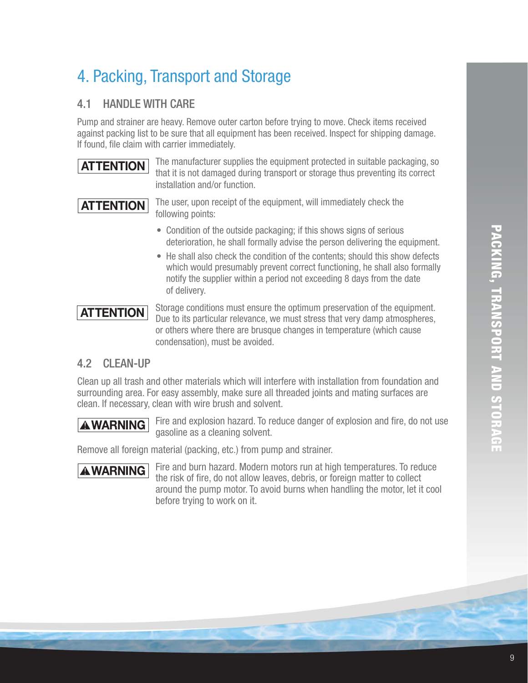## 4. Packing, Transport and Storage

#### 4.1 HANDLE WITH CARE

Pump and strainer are heavy. Remove outer carton before trying to move. Check items received against packing list to be sure that all equipment has been received. Inspect for shipping damage. If found, file claim with carrier immediately.

### **ATTENTION**

 The manufacturer supplies the equipment protected in suitable packaging, so that it is not damaged during transport or storage thus preventing its correct installation and/or function.

**ATTENTION**

 The user, upon receipt of the equipment, will immediately check the following points:

- Condition of the outside packaging; if this shows signs of serious deterioration, he shall formally advise the person delivering the equipment.
- He shall also check the condition of the contents; should this show defects which would presumably prevent correct functioning, he shall also formally notify the supplier within a period not exceeding 8 days from the date of delivery.

## **ATTENTION**

 Storage conditions must ensure the optimum preservation of the equipment. Due to its particular relevance, we must stress that very damp atmospheres, or others where there are brusque changes in temperature (which cause condensation), must be avoided.

#### 4.2 CLEAN-UP

Clean up all trash and other materials which will interfere with installation from foundation and surrounding area. For easy assembly, make sure all threaded joints and mating surfaces are clean. If necessary, clean with wire brush and solvent.

**AWARNING** Fire and explosion hazard. To reduce danger of explosion and fire, do not use gasoline as a cleaning solvent.

Remove all foreign material (packing, etc.) from pump and strainer.



**AWARNING** Fire and burn hazard. Modern motors run at high temperatures. To reduce the risk of fire, do not allow leaves, debris, or foreign matter to collect around the pump motor. To avoid burns when handling the motor, let it cool before trying to work on it.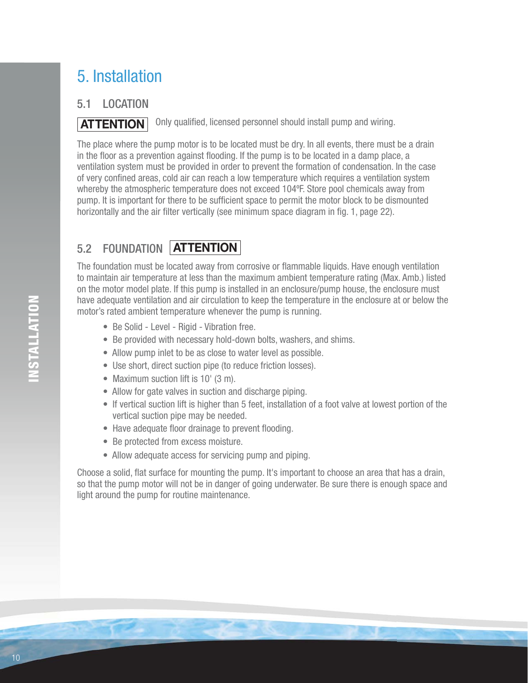# 5. Installation

#### 5.1 LOCATION

Only qualified, licensed personnel should install pump and wiring. **ATTENTION**

The place where the pump motor is to be located must be dry. In all events, there must be a drain in the floor as a prevention against flooding. If the pump is to be located in a damp place, a ventilation system must be provided in order to prevent the formation of condensation. In the case of very confined areas, cold air can reach a low temperature which requires a ventilation system whereby the atmospheric temperature does not exceed 104ºF. Store pool chemicals away from pump. It is important for there to be sufficient space to permit the motor block to be dismounted horizontally and the air filter vertically (see minimum space diagram in fig. 1, page 22).

## 5.2 FOUNDATION **ATTENTION**

The foundation must be located away from corrosive or flammable liquids. Have enough ventilation to maintain air temperature at less than the maximum ambient temperature rating (Max. Amb.) listed on the motor model plate. If this pump is installed in an enclosure/pump house, the enclosure must have adequate ventilation and air circulation to keep the temperature in the enclosure at or below the motor's rated ambient temperature whenever the pump is running.

- Be Solid Level Rigid Vibration free.
- Be provided with necessary hold-down bolts, washers, and shims.
- Allow pump inlet to be as close to water level as possible.
- Use short, direct suction pipe (to reduce friction losses).
- Maximum suction lift is 10' (3 m).
- Allow for gate valves in suction and discharge piping.
- If vertical suction lift is higher than 5 feet, installation of a foot valve at lowest portion of the vertical suction pipe may be needed.
- Have adequate floor drainage to prevent flooding.
- Be protected from excess moisture.
- Allow adequate access for servicing pump and piping.

Choose a solid, flat surface for mounting the pump. It's important to choose an area that has a drain, so that the pump motor will not be in danger of going underwater. Be sure there is enough space and light around the pump for routine maintenance.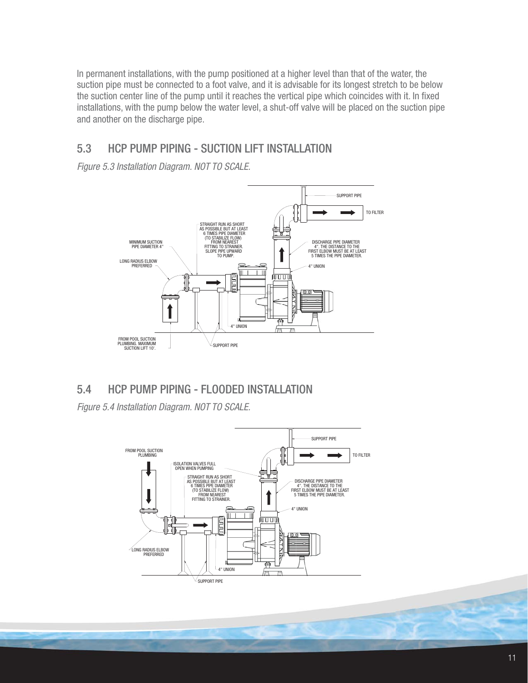In permanent installations, with the pump positioned at a higher level than that of the water, the suction pipe must be connected to a foot valve, and it is advisable for its longest stretch to be below the suction center line of the pump until it reaches the vertical pipe which coincides with it. In fixed installations, with the pump below the water level, a shut-off valve will be placed on the suction pipe and another on the discharge pipe.

#### 5.3 HCP PUMP PIPING - SUCTION LIFT INSTALLATION



#### 5.4 HCP PUMP PIPING - FLOODED INSTALLATION

Figure 5.4 Installation Diagram. NOT TO SCALE.



**COMPANY**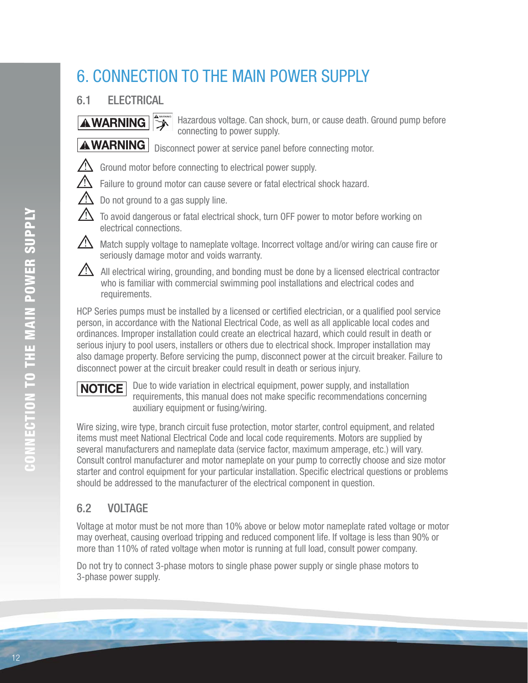## 6. CONNECTION TO THE MAIN POWER SUPPLY

### 6.1 ELECTRICAL

**AWARNING**  $\left| \frac{4^{n}}{2} \right|$  Hazardous voltage. Can shock, burn, or cause death. Ground pump before connecting to power supply.

**AWARNING** Disconnect power at service panel before connecting motor.

- $\sqrt{N}$  Ground motor before connecting to electrical power supply.
	- Failure to ground motor can cause severe or fatal electrical shock hazard.
	- Do not ground to a gas supply line.
	- To avoid dangerous or fatal electrical shock, turn OFF power to motor before working on electrical connections.
	- Match supply voltage to nameplate voltage. Incorrect voltage and/or wiring can cause fire or seriously damage motor and voids warranty.
- $\angle$ ! All electrical wiring, grounding, and bonding must be done by a licensed electrical contractor who is familiar with commercial swimming pool installations and electrical codes and requirements.

HCP Series pumps must be installed by a licensed or certified electrician, or a qualified pool service person, in accordance with the National Electrical Code, as well as all applicable local codes and ordinances. Improper installation could create an electrical hazard, which could result in death or serious injury to pool users, installers or others due to electrical shock. Improper installation may also damage property. Before servicing the pump, disconnect power at the circuit breaker. Failure to disconnect power at the circuit breaker could result in death or serious injury.



 Due to wide variation in electrical equipment, power supply, and installation requirements, this manual does not make specific recommendations concerning auxiliary equipment or fusing/wiring.

Wire sizing, wire type, branch circuit fuse protection, motor starter, control equipment, and related items must meet National Electrical Code and local code requirements. Motors are supplied by several manufacturers and nameplate data (service factor, maximum amperage, etc.) will vary. Consult control manufacturer and motor nameplate on your pump to correctly choose and size motor starter and control equipment for your particular installation. Specific electrical questions or problems should be addressed to the manufacturer of the electrical component in question.

### 6.2 VOLTAGE

Voltage at motor must be not more than 10% above or below motor nameplate rated voltage or motor may overheat, causing overload tripping and reduced component life. If voltage is less than 90% or more than 110% of rated voltage when motor is running at full load, consult power company.

Do not try to connect 3-phase motors to single phase power supply or single phase motors to 3-phase power supply.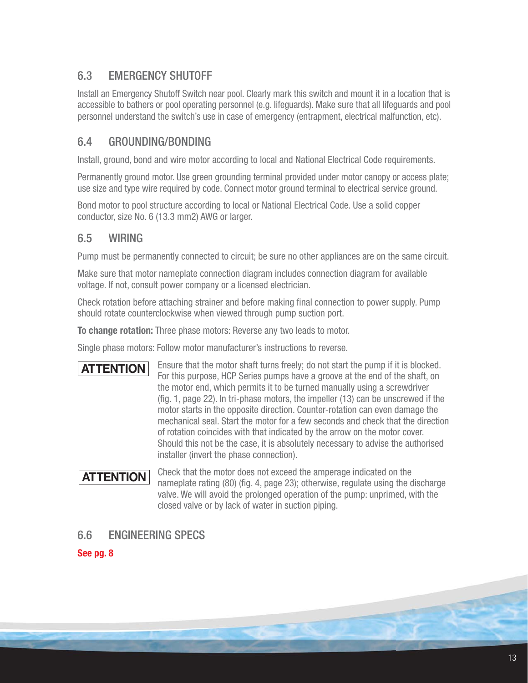#### 6.3 EMERGENCY SHUTOFF

Install an Emergency Shutoff Switch near pool. Clearly mark this switch and mount it in a location that is accessible to bathers or pool operating personnel (e.g. lifeguards). Make sure that all lifeguards and pool personnel understand the switch's use in case of emergency (entrapment, electrical malfunction, etc).

#### 6.4 GROUNDING/BONDING

Install, ground, bond and wire motor according to local and National Electrical Code requirements.

Permanently ground motor. Use green grounding terminal provided under motor canopy or access plate; use size and type wire required by code. Connect motor ground terminal to electrical service ground.

Bond motor to pool structure according to local or National Electrical Code. Use a solid copper conductor, size No. 6 (13.3 mm2) AWG or larger.

#### 6.5 WIRING

Pump must be permanently connected to circuit; be sure no other appliances are on the same circuit.

Make sure that motor nameplate connection diagram includes connection diagram for available voltage. If not, consult power company or a licensed electrician.

Check rotation before attaching strainer and before making final connection to power supply. Pump should rotate counterclockwise when viewed through pump suction port.

**To change rotation:** Three phase motors: Reverse any two leads to motor.

Single phase motors: Follow motor manufacturer's instructions to reverse.

Ensure that the motor shaft turns freely; do not start the pump if it is blocked. For this purpose, HCP Series pumps have a groove at the end of the shaft, on the motor end, which permits it to be turned manually using a screwdriver (fig. 1, page 22). In tri-phase motors, the impeller  $(13)$  can be unscrewed if the motor starts in the opposite direction. Counter-rotation can even damage the mechanical seal. Start the motor for a few seconds and check that the direction of rotation coincides with that indicated by the arrow on the motor cover. Should this not be the case, it is absolutely necessary to advise the authorised installer (invert the phase connection). **ATTENTION**

Check that the motor does not exceed the amperage indicated on the nameplate rating (80) (fig. 4, page 23); otherwise, regulate using the discharge valve. We will avoid the prolonged operation of the pump: unprimed, with the closed valve or by lack of water in suction piping. **ATTENTION**

#### 6.6 ENGINEERING SPECS

#### **See pg. 8**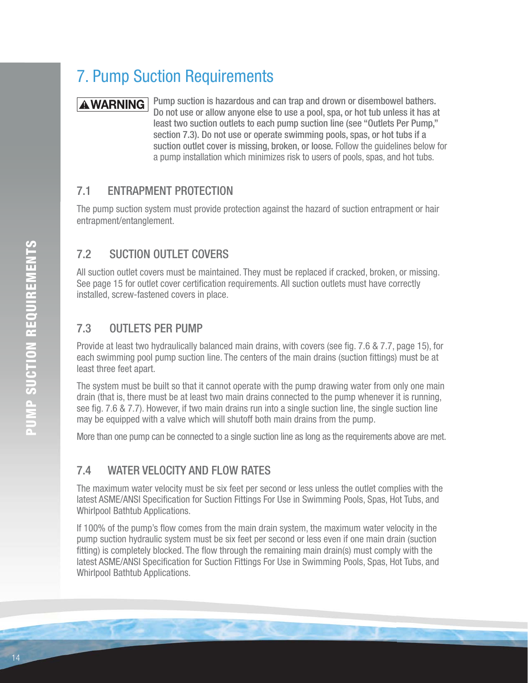## 7. Pump Suction Requirements

**AWARNING** Pump suction is hazardous and can trap and drown or disembowel bathers. Do not use or allow anyone else to use a pool, spa, or hot tub unless it has at least two suction outlets to each pump suction line (see "Outlets Per Pump," section 7.3). Do not use or operate swimming pools, spas, or hot tubs if a suction outlet cover is missing, broken, or loose. Follow the guidelines below for a pump installation which minimizes risk to users of pools, spas, and hot tubs.

#### 7.1 ENTRAPMENT PROTECTION

The pump suction system must provide protection against the hazard of suction entrapment or hair entrapment/entanglement.

#### 7.2 SUCTION OUTLET COVERS

All suction outlet covers must be maintained. They must be replaced if cracked, broken, or missing. See page 15 for outlet cover certification requirements. All suction outlets must have correctly installed, screw-fastened covers in place.

#### 7.3 OUTLETS PER PUMP

Provide at least two hydraulically balanced main drains, with covers (see fig. 7.6 & 7.7, page 15), for each swimming pool pump suction line. The centers of the main drains (suction fittings) must be at least three feet apart.

The system must be built so that it cannot operate with the pump drawing water from only one main drain (that is, there must be at least two main drains connected to the pump whenever it is running, see fig. 7.6 & 7.7). However, if two main drains run into a single suction line, the single suction line may be equipped with a valve which will shutoff both main drains from the pump.

More than one pump can be connected to a single suction line as long as the requirements above are met.

#### 7.4 WATER VELOCITY AND FLOW RATES

The maximum water velocity must be six feet per second or less unless the outlet complies with the latest ASME/ANSI Specification for Suction Fittings For Use in Swimming Pools, Spas, Hot Tubs, and Whirlpool Bathtub Applications.

If 100% of the pump's flow comes from the main drain system, the maximum water velocity in the pump suction hydraulic system must be six feet per second or less even if one main drain (suction fitting) is completely blocked. The flow through the remaining main drain(s) must comply with the latest ASME/ANSI Specification for Suction Fittings For Use in Swimming Pools, Spas, Hot Tubs, and Whirlpool Bathtub Applications.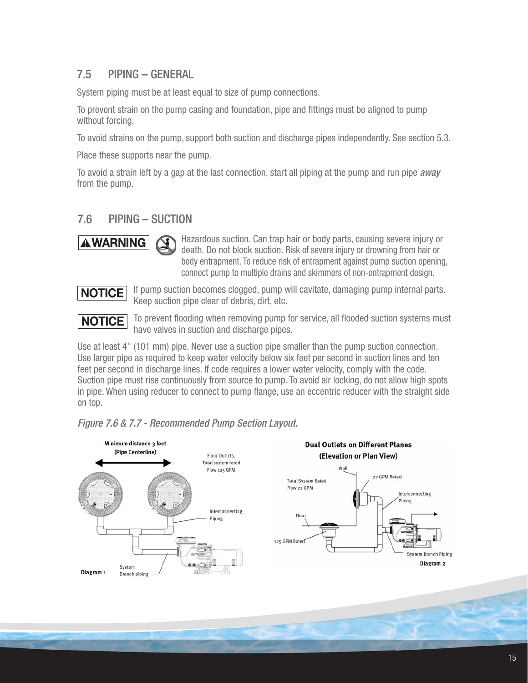#### 7.5 PIPING – GENERAL

System piping must be at least equal to size of pump connections.

To prevent strain on the pump casing and foundation, pipe and fittings must be aligned to pump without forcing.

To avoid strains on the pump, support both suction and discharge pipes independently. See section 5.3.

Place these supports near the pump.

To avoid a strain left by a gap at the last connection, start all piping at the pump and run pipe *away* from the pump.

#### 7.6 PIPING – SUCTION



 Hazardous suction. Can trap hair or body parts, causing severe injury or death. Do not block suction. Risk of severe injury or drowning from hair or body entrapment. To reduce risk of entrapment against pump suction opening, connect pump to multiple drains and skimmers of non-entrapment design.



 If pump suction becomes clogged, pump will cavitate, damaging pump internal parts. Keep suction pipe clear of debris, dirt, etc.



To prevent flooding when removing pump for service, all flooded suction systems must have valves in suction and discharge pipes.

Use at least 4" (101 mm) pipe. Never use a suction pipe smaller than the pump suction connection. Use larger pipe as required to keep water velocity below six feet per second in suction lines and ten feet per second in discharge lines. If code requires a lower water velocity, comply with the code. Suction pipe must rise continuously from source to pump. To avoid air locking, do not allow high spots in pipe. When using reducer to connect to pump flange, use an eccentric reducer with the straight side on top.



#### Figure 7.6 & 7.7 - Recommended Pump Section Layout.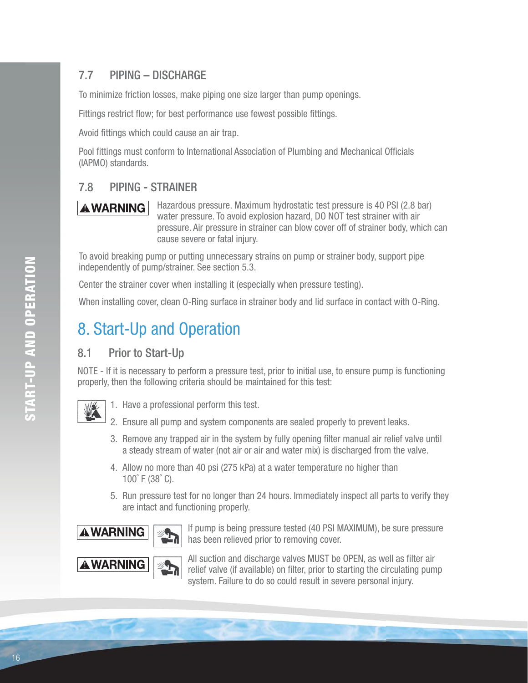### 7.7 PIPING – DISCHARGE

To minimize friction losses, make piping one size larger than pump openings.

Fittings restrict flow; for best performance use fewest possible fittings.

Avoid fittings which could cause an air trap.

Pool fittings must conform to International Association of Plumbing and Mechanical Officials (IAPMO) standards.

#### 7.8 PIPING - STRAINER

**AWARNING** Hazardous pressure. Maximum hydrostatic test pressure is 40 PSI (2.8 bar) water pressure. To avoid explosion hazard, DO NOT test strainer with air pressure. Air pressure in strainer can blow cover off of strainer body, which can cause severe or fatal injury.

To avoid breaking pump or putting unnecessary strains on pump or strainer body, support pipe independently of pump/strainer. See section 5.3.

Center the strainer cover when installing it (especially when pressure testing).

When installing cover, clean O-Ring surface in strainer body and lid surface in contact with O-Ring.

## 8. Start-Up and Operation

#### 8.1 Prior to Start-Up

NOTE - If it is necessary to perform a pressure test, prior to initial use, to ensure pump is functioning properly, then the following criteria should be maintained for this test:



1. Have a professional perform this test.

- 2. Ensure all pump and system components are sealed properly to prevent leaks.
- 3. Remove any trapped air in the system by fully opening filter manual air relief valve until a steady stream of water (not air or air and water mix) is discharged from the valve.
- 4. Allow no more than 40 psi (275 kPa) at a water temperature no higher than 100˚ F (38˚ C).
- 5. Run pressure test for no longer than 24 hours. Immediately inspect all parts to verify they are intact and functioning properly.



**AWARNING**  $\begin{bmatrix} \end{bmatrix}$  If pump is being pressure tested (40 PSI MAXIMUM), be sure pressure has been relieved prior to removing cover.

**ALL SUBSET ALL SUCH ALL SUBSETS** All suction and discharge valves MUST be OPEN, as well as filter air and discussion of the straight of the simulating numerical subsets of  $\mathbf{A}$ relief valve (if available) on filter, prior to starting the circulating pump system. Failure to do so could result in severe personal injury.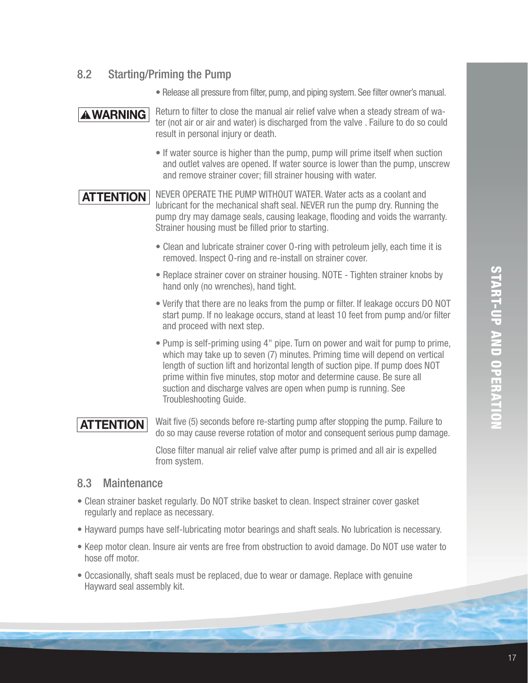#### 8.2 Starting/Priming the Pump

• Release all pressure from filter, pump, and piping system. See filter owner's manual.

**AWARNING** Return to filter to close the manual air relief valve when a steady stream of water (not air or air and water) is discharged from the valve . Failure to do so could result in personal injury or death.

> • If water source is higher than the pump, pump will prime itself when suction and outlet valves are opened. If water source is lower than the pump, unscrew and remove strainer cover; fill strainer housing with water.

**ATTENTION** NEVER OPERATE THE PUMP WITHOUT WATER. Water acts as a coolant and lubricant for the mechanical shaft seal. NEVER run the pump dry. Running the pump dry may damage seals, causing leakage, flooding and voids the warranty. Strainer housing must be filled prior to starting.

- Clean and lubricate strainer cover O-ring with petroleum jelly, each time it is removed. Inspect O-ring and re-install on strainer cover.
- Replace strainer cover on strainer housing. NOTE Tighten strainer knobs by hand only (no wrenches), hand tight.
- Verify that there are no leaks from the pump or filter. If leakage occurs DO NOT start pump. If no leakage occurs, stand at least 10 feet from pump and/or filter and proceed with next step.
- Pump is self-priming using 4" pipe. Turn on power and wait for pump to prime, which may take up to seven (7) minutes. Priming time will depend on vertical length of suction lift and horizontal length of suction pipe. If pump does NOT prime within five minutes, stop motor and determine cause. Be sure all suction and discharge valves are open when pump is running. See Troubleshooting Guide.

## **ATTENTION**

Wait five (5) seconds before re-starting pump after stopping the pump. Failure to do so may cause reverse rotation of motor and consequent serious pump damage.

Close filter manual air relief valve after pump is primed and all air is expelled from system.

#### 8.3 Maintenance

- Clean strainer basket regularly. Do NOT strike basket to clean. Inspect strainer cover gasket regularly and replace as necessary.
- Hayward pumps have self-lubricating motor bearings and shaft seals. No lubrication is necessary.
- Keep motor clean. Insure air vents are free from obstruction to avoid damage. Do NOT use water to hose off motor.
- Occasionally, shaft seals must be replaced, due to wear or damage. Replace with genuine Hayward seal assembly kit.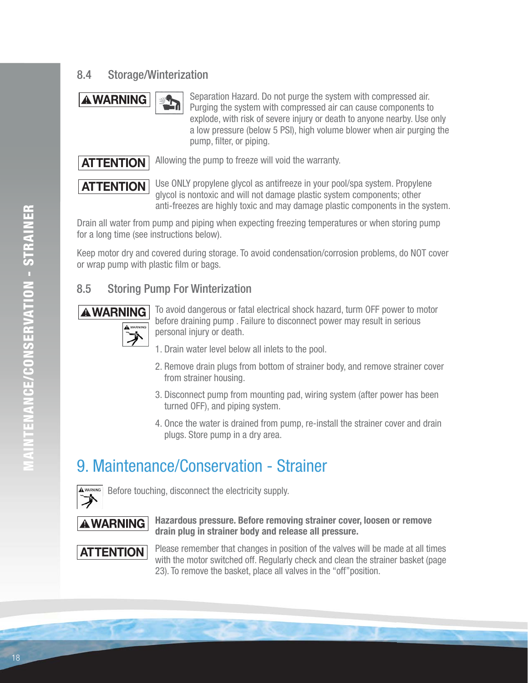#### 8.4 Storage/Winterization



**AWARNING** Separation Hazard. Do not purge the system with compressed air. Purging the system with compressed air can cause components to explode, with risk of severe injury or death to anyone nearby. Use only a low pressure (below 5 PSI), high volume blower when air purging the pump, filter, or piping.



Allowing the pump to freeze will void the warranty.

**ATTENTION**

 Use ONLY propylene glycol as antifreeze in your pool/spa system. Propylene glycol is nontoxic and will not damage plastic system components; other anti-freezes are highly toxic and may damage plastic components in the system.

Drain all water from pump and piping when expecting freezing temperatures or when storing pump for a long time (see instructions below).

Keep motor dry and covered during storage. To avoid condensation/corrosion problems, do NOT cover or wrap pump with plastic film or bags.

#### 8.5 Storing Pump For Winterization



**AWARNING** To avoid dangerous or fatal electrical shock hazard, turm OFF power to motor before draining pump . Failure to disconnect power may result in serious personal injury or death.

- 1. Drain water level below all inlets to the pool.
- 2. Remove drain plugs from bottom of strainer body, and remove strainer cover from strainer housing.
- 3. Disconnect pump from mounting pad, wiring system (after power has been turned OFF), and piping system.
- 4. Once the water is drained from pump, re-install the strainer cover and drain plugs. Store pump in a dry area.

## 9. Maintenance/Conservation - Strainer



Before touching, disconnect the electricity supply.



**Hazardous pressure. Before removing strainer cover, loosen or remove drain plug in strainer body and release all pressure.**



Please remember that changes in position of the valves will be made at all times with the motor switched off. Regularly check and clean the strainer basket (page 23). To remove the basket, place all valves in the "off"position.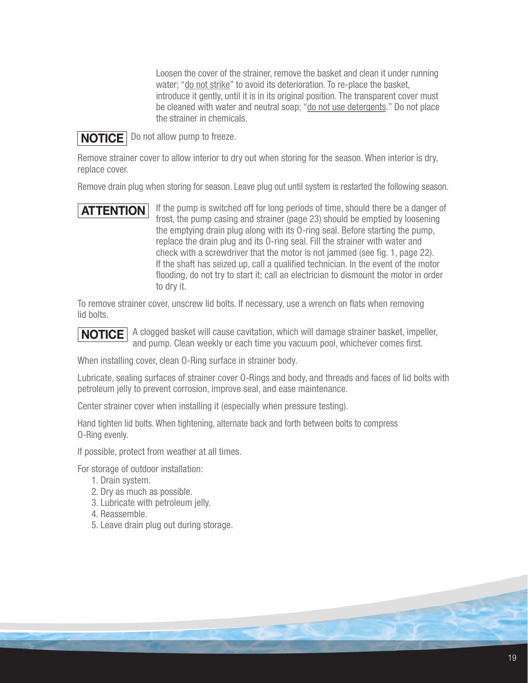Loosen the cover of the strainer, remove the basket and clean it under running water; "do not strike" to avoid its deterioration. To re-place the basket, introduce it gently, until it is in its original position. The transparent cover must be cleaned with water and neutral soap; "do not use detergents." Do not place the strainer in chemicals.



**NOTICE** Do not allow pump to freeze.

Remove strainer cover to allow interior to dry out when storing for the season. When interior is dry, replace cover.

Remove drain plug when storing for season. Leave plug out until system is restarted the following season.

### **ATTENTION**

If the pump is switched off for long periods of time, should there be a danger of frost, the pump casing and strainer (page 23) should be emptied by loosening the emptying drain plug along with its O-ring seal. Before starting the pump, replace the drain plug and its O-ring seal. Fill the strainer with water and check with a screwdriver that the motor is not jammed (see fig. 1, page 22). If the shaft has seized up, call a qualified technician. In the event of the motor flooding, do not try to start it; call an electrician to dismount the motor in order to dry it.

To remove strainer cover, unscrew lid bolts. If necessary, use a wrench on flats when removing lid bolts.

 A clogged basket will cause cavitation, which will damage strainer basket, impeller, and pump. Clean weekly or each time you vacuum pool, whichever comes first. **NOTICE**

When installing cover, clean O-Ring surface in strainer body.

Lubricate, sealing surfaces of strainer cover O-Rings and body, and threads and faces of lid bolts with petroleum jelly to prevent corrosion, improve seal, and ease maintenance.

Center strainer cover when installing it (especially when pressure testing).

Hand tighten lid bolts. When tightening, alternate back and forth between bolts to compress O-Ring evenly.

If possible, protect from weather at all times.

For storage of outdoor installation:

- 1. Drain system.
- 2. Dry as much as possible.
- 3. Lubricate with petroleum jelly.
- 4. Reassemble.
- 5. Leave drain plug out during storage.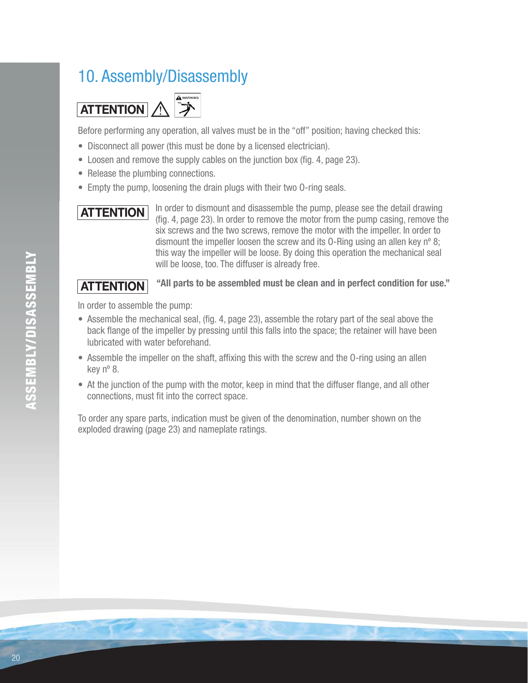## 10. Assembly/Disassembly



Before performing any operation, all valves must be in the "off" position; having checked this:

- Disconnect all power (this must be done by a licensed electrician).
- $\bullet$  Loosen and remove the supply cables on the junction box (fig. 4, page 23).
- Release the plumbing connections.
- Empty the pump, loosening the drain plugs with their two O-ring seals.

## **ATTENTION**

 In order to dismount and disassemble the pump, please see the detail drawing (fig. 4, page 23). In order to remove the motor from the pump casing, remove the six screws and the two screws, remove the motor with the impeller. In order to dismount the impeller loosen the screw and its O-Ring using an allen key nº 8; this way the impeller will be loose. By doing this operation the mechanical seal will be loose, too. The diffuser is already free.

#### **"All parts to be assembled must be clean and in perfect condition for use." ATTENTION**

In order to assemble the pump:

- Assemble the mechanical seal, (fig. 4, page 23), assemble the rotary part of the seal above the back flange of the impeller by pressing until this falls into the space; the retainer will have been lubricated with water beforehand.
- Assemble the impeller on the shaft, affixing this with the screw and the O-ring using an allen key nº 8.
- At the junction of the pump with the motor, keep in mind that the diffuser flange, and all other connections, must fit into the correct space.

To order any spare parts, indication must be given of the denomination, number shown on the exploded drawing (page 23) and nameplate ratings.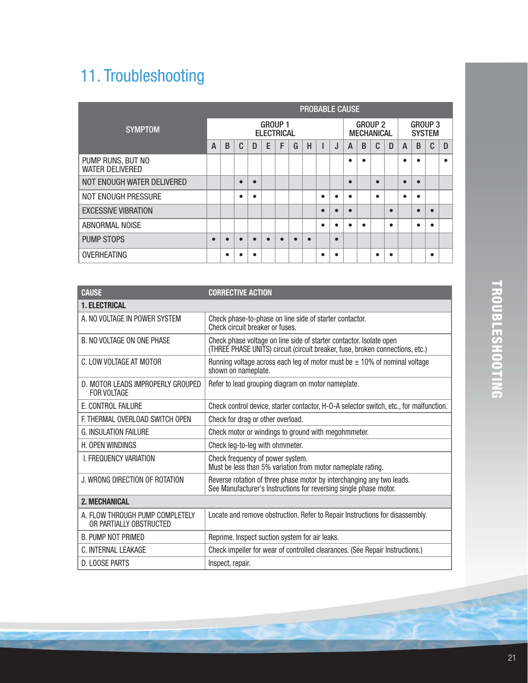# 11. Troubleshooting

|                                             | <b>PROBABLE CAUSE</b> |                                     |   |   |   |   |   |           |           |                                     |           |   |           |                                 |           |           |   |           |
|---------------------------------------------|-----------------------|-------------------------------------|---|---|---|---|---|-----------|-----------|-------------------------------------|-----------|---|-----------|---------------------------------|-----------|-----------|---|-----------|
| <b>SYMPTOM</b>                              |                       | <b>GROUP 1</b><br><b>ELECTRICAL</b> |   |   |   |   |   |           |           | <b>GROUP 2</b><br><b>MECHANICAL</b> |           |   |           | <b>GROUP 3</b><br><b>SYSTEM</b> |           |           |   |           |
|                                             |                       | B                                   | C | D | E | F | G | H         |           | J                                   | A         | B | C         | D                               | A         | B         | C | D         |
| PUMP RUNS, BUT NO<br><b>WATER DELIVERED</b> |                       |                                     |   |   |   |   |   |           |           |                                     | $\bullet$ |   |           |                                 | ٠         | $\bullet$ |   | $\bullet$ |
| NOT ENOUGH WATER DELIVERED                  |                       |                                     | О |   |   |   |   |           |           |                                     | $\bullet$ |   | $\bullet$ |                                 | ∙         | $\bullet$ |   |           |
| NOT ENOUGH PRESSURE                         |                       |                                     | ٠ |   |   |   |   |           | $\bullet$ |                                     | $\bullet$ |   | $\bullet$ |                                 | $\bullet$ | $\bullet$ |   |           |
| <b>EXCESSIVE VIBRATION</b>                  |                       |                                     |   |   |   |   |   |           | $\bullet$ |                                     | $\bullet$ |   |           | $\bullet$                       |           | $\bullet$ | ● |           |
| ABNORMAL NOISE                              |                       |                                     |   |   |   |   |   |           | $\bullet$ |                                     | $\bullet$ |   |           | $\bullet$                       |           | $\bullet$ |   |           |
| <b>PUMP STOPS</b>                           |                       |                                     |   |   |   |   |   | $\bullet$ |           |                                     |           |   |           |                                 |           |           |   |           |
| OVERHEATING                                 |                       | ٠                                   |   |   |   |   |   |           |           |                                     |           |   | ٠         |                                 |           |           |   |           |

| <b>CAUSE</b>                                               | <b>CORRECTIVE ACTION</b>                                                                                                                             |
|------------------------------------------------------------|------------------------------------------------------------------------------------------------------------------------------------------------------|
| <b>1. ELECTRICAL</b>                                       |                                                                                                                                                      |
| A. NO VOLTAGE IN POWER SYSTEM                              | Check phase-to-phase on line side of starter contactor.<br>Check circuit breaker or fuses.                                                           |
| B. NO VOLTAGE ON ONE PHASE                                 | Check phase voltage on line side of starter contactor. Isolate open<br>(THREE PHASE UNITS) circuit (circuit breaker, fuse, broken connections, etc.) |
| C. LOW VOLTAGE AT MOTOR                                    | Running voltage across each leg of motor must be $\pm$ 10% of nominal voltage<br>shown on nameplate.                                                 |
| D. MOTOR LEADS IMPROPERLY GROUPED<br>FOR VOLTAGE           | Refer to lead grouping diagram on motor nameplate.                                                                                                   |
| E. CONTROL FAILURE                                         | Check control device, starter contactor, H-O-A selector switch, etc., for malfunction.                                                               |
| F. THERMAL OVERLOAD SWITCH OPEN                            | Check for drag or other overload.                                                                                                                    |
| <b>G. INSULATION FAILURE</b>                               | Check motor or windings to ground with megohmmeter.                                                                                                  |
| H. OPEN WINDINGS                                           | Check leg-to-leg with ohmmeter.                                                                                                                      |
| <b>L FREQUENCY VARIATION</b>                               | Check frequency of power system.<br>Must be less than 5% variation from motor nameplate rating.                                                      |
| J. WRONG DIRECTION OF ROTATION                             | Reverse rotation of three phase motor by interchanging any two leads.<br>See Manufacturer's Instructions for reversing single phase motor.           |
| <b>2. MECHANICAL</b>                                       |                                                                                                                                                      |
| A. FLOW THROUGH PUMP COMPLETELY<br>OR PARTIALLY OBSTRUCTED | Locate and remove obstruction. Refer to Repair Instructions for disassembly.                                                                         |
| <b>B. PUMP NOT PRIMED</b>                                  | Reprime. Inspect suction system for air leaks.                                                                                                       |
| C. INTERNAL LEAKAGE                                        | Check impeller for wear of controlled clearances. (See Repair Instructions.)                                                                         |
| D. LOOSE PARTS                                             | Inspect, repair.                                                                                                                                     |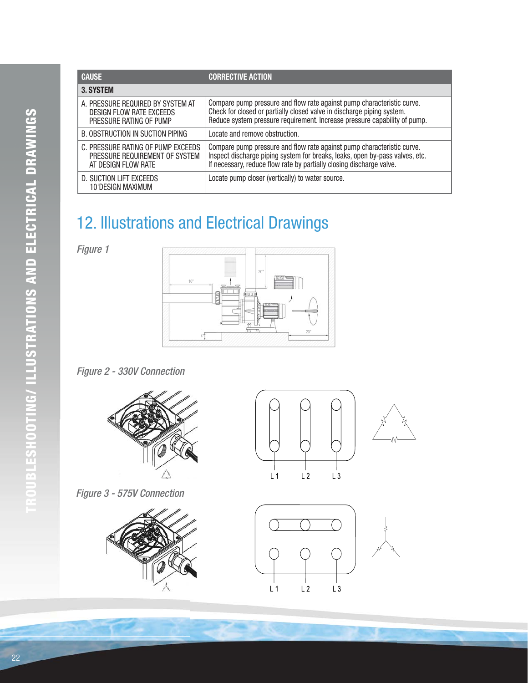| <b>CAUSE</b>                                                                                | <b>CORRECTIVE ACTION</b>                                                                                                                                                                                                       |
|---------------------------------------------------------------------------------------------|--------------------------------------------------------------------------------------------------------------------------------------------------------------------------------------------------------------------------------|
| 3. SYSTEM                                                                                   |                                                                                                                                                                                                                                |
| A. PRESSURE REQUIRED BY SYSTEM AT<br>DESIGN FLOW RATE EXCEEDS<br>PRESSURE RATING OF PUMP    | Compare pump pressure and flow rate against pump characteristic curve.<br>Check for closed or partially closed valve in discharge piping system.<br>Reduce system pressure requirement. Increase pressure capability of pump.  |
| B. OBSTRUCTION IN SUCTION PIPING                                                            | Locate and remove obstruction.                                                                                                                                                                                                 |
| C. PRESSURE RATING OF PUMP EXCEEDS<br>PRESSURE REQUIREMENT OF SYSTEM<br>AT DESIGN FLOW RATE | Compare pump pressure and flow rate against pump characteristic curve.<br>Inspect discharge piping system for breaks, leaks, open by-pass valves, etc.<br>If necessary, reduce flow rate by partially closing discharge valve. |
| D. SUCTION LIFT EXCEEDS<br>10'DESIGN MAXIMUM                                                | Locate pump closer (vertically) to water source.                                                                                                                                                                               |

## 12. Illustrations and Electrical Drawings

Figure 1



#### Figure 2 - 330V Connection













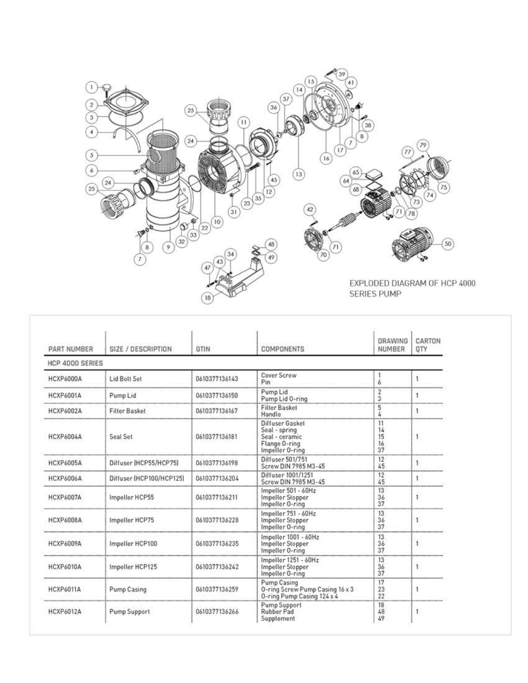

| PART NUMBER      | SIZE / DESCRIPTION       | GTIN          | <b>COMPONENTS</b>                                                                      | <b>DRAWING</b><br>NUMBER     | CARTON<br>QTY |
|------------------|--------------------------|---------------|----------------------------------------------------------------------------------------|------------------------------|---------------|
| HCP 4000 SERIES  |                          |               |                                                                                        |                              |               |
| HCXP6000A        | Lid Bolt Set             | 0610377136143 | Cover Screw<br>Pin                                                                     | 6                            |               |
| HCXP6001A        | Pump Lid                 | 0610377136150 | Pump Lid<br>Pump Lid 0-ring                                                            | $\overline{\mathbf{c}}$<br>3 | 1             |
| HCXP6002A        | <b>Filter Basket</b>     | 0610377136167 | <b>Filter Basket</b><br>Handle.                                                        | 5<br>4                       |               |
| HCXP6004A        | Seal Set                 | 0610377136181 | Diffuser Gasket<br>Seal - spring<br>Seal - ceramic<br>Flange O-ring<br>Impeller 0-ring | 11<br>14<br>15<br>16<br>37   | 1             |
| HCXP6005A        | Diffuser (HCP55/HCP75)   | 0610377136198 | Diffuser 501/751<br>Screw DIN 7985 M3-45                                               | 12<br>45                     | 1             |
| HCXP6006A        | Diffuser (HCP100/HCP125) | 0610377136204 | Diffuser 1001/1251<br>Screw DIN 7985 M3-45                                             | 12<br>45                     | 1             |
| <b>HCXP6007A</b> | Impeller HCP55           | 0610377136211 | Impeller 501 - 60Hz<br>Impeller Stopper<br>Impeller O-ring                             | 13<br>36<br>37               | 1             |
| HCXP6008A        | Impeller HCP75           | 0610377136228 | Impeller 751 - 60Hz<br>Impeller Stopper<br>Impeller 0-ring                             | 13<br>36<br>37               | 1             |
| HCXP6009A        | Impeller HCP100          | 0610377136235 | Impeller 1001 - 60Hz<br>Impeller Stopper<br>Impeller O-ring                            | 13<br>36<br>37               | 1             |
| <b>HCXP6010A</b> | Impeller HCP125          | 0610377136242 | Impeller 1251 - 60Hz<br>Impeller Stopper<br>Impeller O-ring                            | 13<br>36<br>37               | 1             |
| <b>HCXP6011A</b> | Pump Casing              | 0610377136259 | Pump Casing<br>O-ring Screw Pump Casing 16 x 3<br>0-ring Pump Casing 124 x 4           | 17<br>23<br>22               | 1             |
| HCXP6012A        | Pump Support             | 0610377136266 | Pump Support<br>Rubber Pad<br>Supplement                                               | 18<br>48<br>49               | 1             |